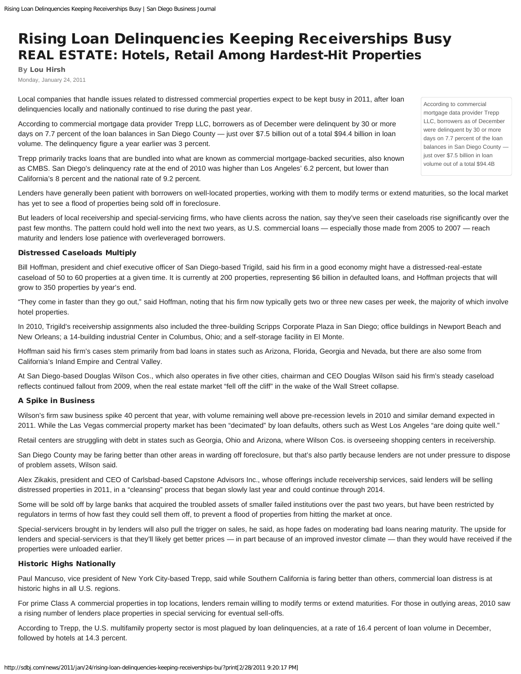## Rising Loan Delinquencies Keeping Receiverships Busy REAL ESTATE: Hotels, Retail Among Hardest-Hit Properties

By [Lou Hirsh](http://sdbj.com/staff/lou-hirsh/) Monday, January 24, 2011

Local companies that handle issues related to distressed commercial properties expect to be kept busy in 2011, after loan delinquencies locally and nationally continued to rise during the past year.

According to commercial mortgage data provider Trepp LLC, borrowers as of December were delinquent by 30 or more days on 7.7 percent of the loan balances in San Diego County — just over \$7.5 billion out of a total \$94.4 billion in loan volume. The delinquency figure a year earlier was 3 percent.

Trepp primarily tracks loans that are bundled into what are known as commercial mortgage-backed securities, also known as CMBS. San Diego's delinquency rate at the end of 2010 was higher than Los Angeles' 6.2 percent, but lower than California's 8 percent and the national rate of 9.2 percent.

Lenders have generally been patient with borrowers on well-located properties, working with them to modify terms or extend maturities, so the local market has yet to see a flood of properties being sold off in foreclosure.

But leaders of local receivership and special-servicing firms, who have clients across the nation, say they've seen their caseloads rise significantly over the past few months. The pattern could hold well into the next two years, as U.S. commercial loans — especially those made from 2005 to 2007 — reach maturity and lenders lose patience with overleveraged borrowers.

## Distressed Caseloads Multiply

Bill Hoffman, president and chief executive officer of San Diego-based Trigild, said his firm in a good economy might have a distressed-real-estate caseload of 50 to 60 properties at a given time. It is currently at 200 properties, representing \$6 billion in defaulted loans, and Hoffman projects that will grow to 350 properties by year's end.

"They come in faster than they go out," said Hoffman, noting that his firm now typically gets two or three new cases per week, the majority of which involve hotel properties.

In 2010, Trigild's receivership assignments also included the three-building Scripps Corporate Plaza in San Diego; office buildings in Newport Beach and New Orleans; a 14-building industrial Center in Columbus, Ohio; and a self-storage facility in El Monte.

Hoffman said his firm's cases stem primarily from bad loans in states such as Arizona, Florida, Georgia and Nevada, but there are also some from California's Inland Empire and Central Valley.

At San Diego-based Douglas Wilson Cos., which also operates in five other cities, chairman and CEO Douglas Wilson said his firm's steady caseload reflects continued fallout from 2009, when the real estate market "fell off the cliff" in the wake of the Wall Street collapse.

## A Spike in Business

Wilson's firm saw business spike 40 percent that year, with volume remaining well above pre-recession levels in 2010 and similar demand expected in 2011. While the Las Vegas commercial property market has been "decimated" by loan defaults, others such as West Los Angeles "are doing quite well."

Retail centers are struggling with debt in states such as Georgia, Ohio and Arizona, where Wilson Cos. is overseeing shopping centers in receivership.

San Diego County may be faring better than other areas in warding off foreclosure, but that's also partly because lenders are not under pressure to dispose of problem assets, Wilson said.

Alex Zikakis, president and CEO of Carlsbad-based Capstone Advisors Inc., whose offerings include receivership services, said lenders will be selling distressed properties in 2011, in a "cleansing" process that began slowly last year and could continue through 2014.

Some will be sold off by large banks that acquired the troubled assets of smaller failed institutions over the past two years, but have been restricted by regulators in terms of how fast they could sell them off, to prevent a flood of properties from hitting the market at once.

Special-servicers brought in by lenders will also pull the trigger on sales, he said, as hope fades on moderating bad loans nearing maturity. The upside for lenders and special-servicers is that they'll likely get better prices — in part because of an improved investor climate — than they would have received if the properties were unloaded earlier.

## Historic Highs Nationally

Paul Mancuso, vice president of New York City-based Trepp, said while Southern California is faring better than others, commercial loan distress is at historic highs in all U.S. regions.

For prime Class A commercial properties in top locations, lenders remain willing to modify terms or extend maturities. For those in outlying areas, 2010 saw a rising number of lenders place properties in special servicing for eventual sell-offs.

According to Trepp, the U.S. multifamily property sector is most plagued by loan delinquencies, at a rate of 16.4 percent of loan volume in December, followed by hotels at 14.3 percent.

According to commercial mortgage data provider Trepp LLC, borrowers as of December were delinquent by 30 or more days on 7.7 percent of the loan balances in San Diego County just over \$7.5 billion in loan volume out of a total \$94.4B